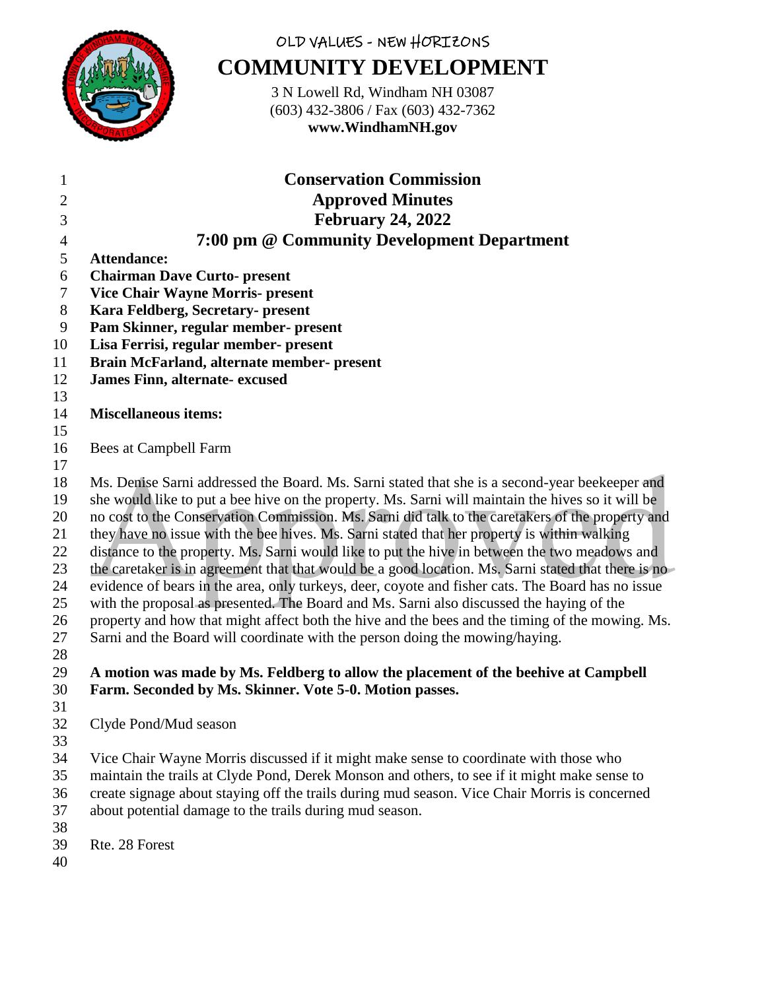

# OLD VALUES - NEW HORIZONS **COMMUNITY DEVELOPMENT**

3 N Lowell Rd, Windham NH 03087 (603) 432-3806 / Fax (603) 432-7362 **www.WindhamNH.gov**

| $\mathbf{1}$   | <b>Conservation Commission</b>                                                                                                                                                                       |
|----------------|------------------------------------------------------------------------------------------------------------------------------------------------------------------------------------------------------|
| $\overline{2}$ | <b>Approved Minutes</b>                                                                                                                                                                              |
| 3              | <b>February 24, 2022</b>                                                                                                                                                                             |
| $\overline{4}$ | 7:00 pm @ Community Development Department                                                                                                                                                           |
| 5              | <b>Attendance:</b>                                                                                                                                                                                   |
| 6              | <b>Chairman Dave Curto- present</b>                                                                                                                                                                  |
| 7              | <b>Vice Chair Wayne Morris- present</b>                                                                                                                                                              |
| 8              | Kara Feldberg, Secretary- present                                                                                                                                                                    |
| 9              | Pam Skinner, regular member- present                                                                                                                                                                 |
| 10             | Lisa Ferrisi, regular member- present                                                                                                                                                                |
| 11             | Brain McFarland, alternate member- present                                                                                                                                                           |
| 12             | James Finn, alternate-excused                                                                                                                                                                        |
| 13             |                                                                                                                                                                                                      |
| 14             | <b>Miscellaneous items:</b>                                                                                                                                                                          |
| 15             |                                                                                                                                                                                                      |
| 16             | Bees at Campbell Farm                                                                                                                                                                                |
| 17             |                                                                                                                                                                                                      |
| 18             | Ms. Denise Sarni addressed the Board. Ms. Sarni stated that she is a second-year beekeeper and                                                                                                       |
| 19             | she would like to put a bee hive on the property. Ms. Sarni will maintain the hives so it will be                                                                                                    |
| 20             | no cost to the Conservation Commission. Ms. Sarni did talk to the caretakers of the property and                                                                                                     |
| 21             | they have no issue with the bee hives. Ms. Sarni stated that her property is within walking                                                                                                          |
| 22             | distance to the property. Ms. Sarni would like to put the hive in between the two meadows and<br>the caretaker is in agreement that that would be a good location. Ms. Sarni stated that there is no |
| 23<br>24       | evidence of bears in the area, only turkeys, deer, coyote and fisher cats. The Board has no issue                                                                                                    |
| 25             | with the proposal as presented. The Board and Ms. Sarni also discussed the haying of the                                                                                                             |
| 26             | property and how that might affect both the hive and the bees and the timing of the mowing. Ms.                                                                                                      |
| 27             | Sarni and the Board will coordinate with the person doing the mowing/haying.                                                                                                                         |
| 28             |                                                                                                                                                                                                      |
| 29             | A motion was made by Ms. Feldberg to allow the placement of the beehive at Campbell                                                                                                                  |
| 30             | Farm. Seconded by Ms. Skinner. Vote 5-0. Motion passes.                                                                                                                                              |
| 31             |                                                                                                                                                                                                      |
| 32             | Clyde Pond/Mud season                                                                                                                                                                                |
| $\sim$         |                                                                                                                                                                                                      |

33<br>34 Vice Chair Wayne Morris discussed if it might make sense to coordinate with those who

- maintain the trails at Clyde Pond, Derek Monson and others, to see if it might make sense to
- create signage about staying off the trails during mud season. Vice Chair Morris is concerned
- about potential damage to the trails during mud season.
- Rte. 28 Forest
-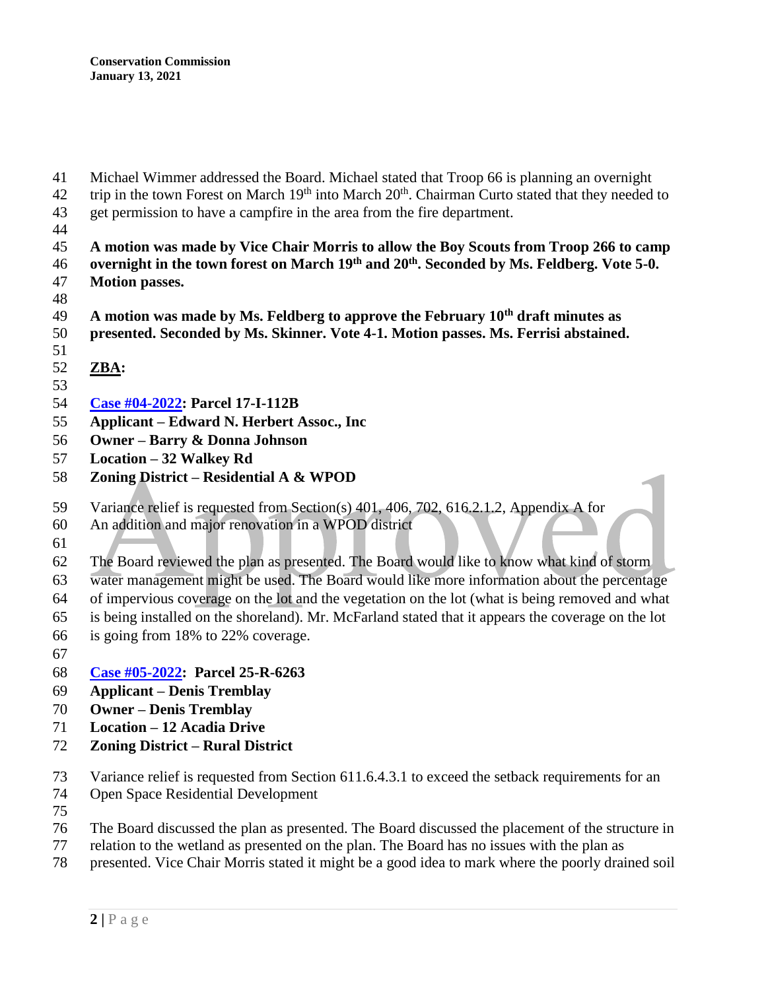- Michael Wimmer addressed the Board. Michael stated that Troop 66 is planning an overnight
- 42 trip in the town Forest on March  $19<sup>th</sup>$  into March  $20<sup>th</sup>$ . Chairman Curto stated that they needed to get permission to have a campfire in the area from the fire department.
- 
- **A motion was made by Vice Chair Morris to allow the Boy Scouts from Troop 266 to camp overnight in the town forest on March 19th and 20th . Seconded by Ms. Feldberg. Vote 5-0.**
- **Motion passes.**
- 
- **A motion was made by Ms. Feldberg to approve the February 10th draft minutes as presented. Seconded by Ms. Skinner. Vote 4-1. Motion passes. Ms. Ferrisi abstained.**
- 
- 
- **ZBA:**
- **[Case #04-2022:](https://www.windhamnh.gov/DocumentCenter/Index/915) Parcel 17-I-112B**
- **Applicant – Edward N. Herbert Assoc., Inc**
- **Owner – Barry & Donna Johnson**
- **Location – 32 Walkey Rd**
- **Zoning District – Residential A & WPOD**
- Variance relief is requested from Section(s) 401, 406, 702, 616.2.1.2, Appendix A for
- An addition and major renovation in a WPOD district
- 

The Board reviewed the plan as presented. The Board would like to know what kind of storm

water management might be used. The Board would like more information about the percentage

of impervious coverage on the lot and the vegetation on the lot (what is being removed and what

- is being installed on the shoreland). Mr. McFarland stated that it appears the coverage on the lot
- is going from 18% to 22% coverage.
- 
- **[Case #05-2022:](https://www.windhamnh.gov/DocumentCenter/Index/916) Parcel 25-R-6263**
- **Applicant – Denis Tremblay**
- **Owner – Denis Tremblay**
- **Location – 12 Acadia Drive**
- **Zoning District – Rural District**
- Variance relief is requested from Section 611.6.4.3.1 to exceed the setback requirements for an
- Open Space Residential Development
- 
- The Board discussed the plan as presented. The Board discussed the placement of the structure in
- relation to the wetland as presented on the plan. The Board has no issues with the plan as
- presented. Vice Chair Morris stated it might be a good idea to mark where the poorly drained soil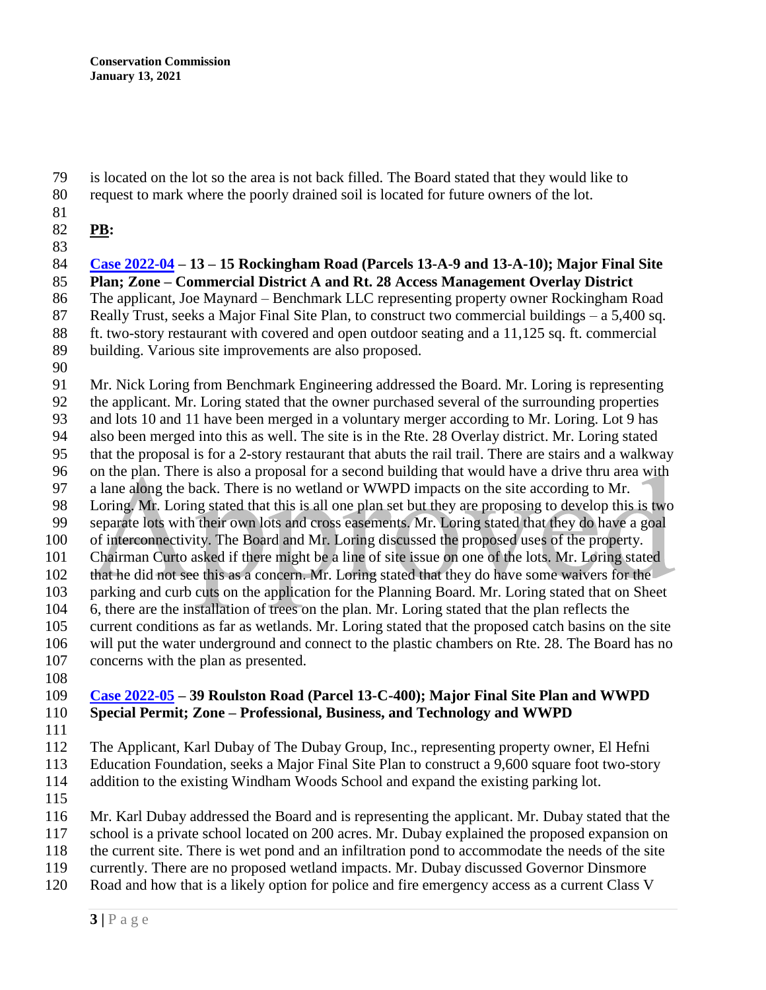is located on the lot so the area is not back filled. The Board stated that they would like to

- request to mark where the poorly drained soil is located for future owners of the lot.
- 
- **PB:**
- 

 **[Case 2022-04](https://www.windhamnh.gov/DocumentCenter/Index/905) – 13 – 15 Rockingham Road (Parcels 13-A-9 and 13-A-10); Major Final Site Plan; Zone – Commercial District A and Rt. 28 Access Management Overlay District** The applicant, Joe Maynard – Benchmark LLC representing property owner Rockingham Road 87 Really Trust, seeks a Major Final Site Plan, to construct two commercial buildings – a 5,400 sq. ft. two-story restaurant with covered and open outdoor seating and a 11,125 sq. ft. commercial

- building. Various site improvements are also proposed.
- 

 Mr. Nick Loring from Benchmark Engineering addressed the Board. Mr. Loring is representing the applicant. Mr. Loring stated that the owner purchased several of the surrounding properties and lots 10 and 11 have been merged in a voluntary merger according to Mr. Loring. Lot 9 has also been merged into this as well. The site is in the Rte. 28 Overlay district. Mr. Loring stated that the proposal is for a 2-story restaurant that abuts the rail trail. There are stairs and a walkway on the plan. There is also a proposal for a second building that would have a drive thru area with a lane along the back. There is no wetland or WWPD impacts on the site according to Mr. Loring. Mr. Loring stated that this is all one plan set but they are proposing to develop this is two separate lots with their own lots and cross easements. Mr. Loring stated that they do have a goal of interconnectivity. The Board and Mr. Loring discussed the proposed uses of the property. Chairman Curto asked if there might be a line of site issue on one of the lots. Mr. Loring stated that he did not see this as a concern. Mr. Loring stated that they do have some waivers for the parking and curb cuts on the application for the Planning Board. Mr. Loring stated that on Sheet 6, there are the installation of trees on the plan. Mr. Loring stated that the plan reflects the current conditions as far as wetlands. Mr. Loring stated that the proposed catch basins on the site will put the water underground and connect to the plastic chambers on Rte. 28. The Board has no concerns with the plan as presented.

### **[Case 2022-05](https://www.windhamnh.gov/DocumentCenter/Index/908) – 39 Roulston Road (Parcel 13-C-400); Major Final Site Plan and WWPD Special Permit; Zone – Professional, Business, and Technology and WWPD**

 The Applicant, Karl Dubay of The Dubay Group, Inc., representing property owner, El Hefni Education Foundation, seeks a Major Final Site Plan to construct a 9,600 square foot two-story

- addition to the existing Windham Woods School and expand the existing parking lot.
- 
- Mr. Karl Dubay addressed the Board and is representing the applicant. Mr. Dubay stated that the
- school is a private school located on 200 acres. Mr. Dubay explained the proposed expansion on
- the current site. There is wet pond and an infiltration pond to accommodate the needs of the site
- currently. There are no proposed wetland impacts. Mr. Dubay discussed Governor Dinsmore
- Road and how that is a likely option for police and fire emergency access as a current Class V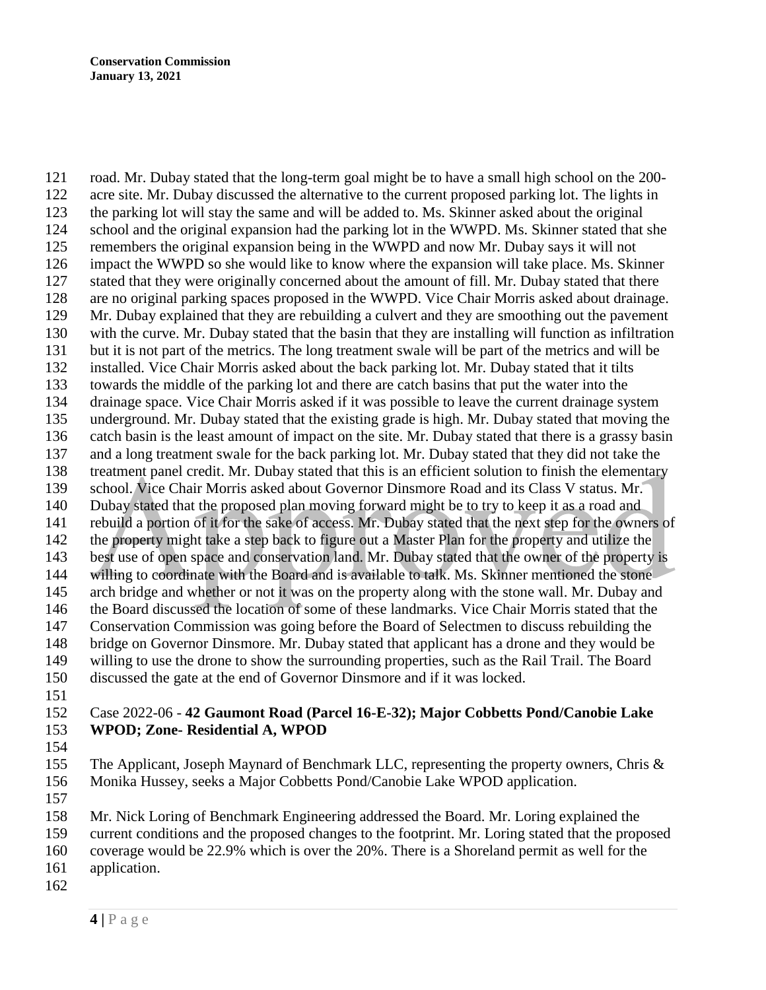road. Mr. Dubay stated that the long-term goal might be to have a small high school on the 200- acre site. Mr. Dubay discussed the alternative to the current proposed parking lot. The lights in the parking lot will stay the same and will be added to. Ms. Skinner asked about the original school and the original expansion had the parking lot in the WWPD. Ms. Skinner stated that she remembers the original expansion being in the WWPD and now Mr. Dubay says it will not impact the WWPD so she would like to know where the expansion will take place. Ms. Skinner stated that they were originally concerned about the amount of fill. Mr. Dubay stated that there are no original parking spaces proposed in the WWPD. Vice Chair Morris asked about drainage. Mr. Dubay explained that they are rebuilding a culvert and they are smoothing out the pavement with the curve. Mr. Dubay stated that the basin that they are installing will function as infiltration but it is not part of the metrics. The long treatment swale will be part of the metrics and will be installed. Vice Chair Morris asked about the back parking lot. Mr. Dubay stated that it tilts towards the middle of the parking lot and there are catch basins that put the water into the drainage space. Vice Chair Morris asked if it was possible to leave the current drainage system underground. Mr. Dubay stated that the existing grade is high. Mr. Dubay stated that moving the catch basin is the least amount of impact on the site. Mr. Dubay stated that there is a grassy basin and a long treatment swale for the back parking lot. Mr. Dubay stated that they did not take the treatment panel credit. Mr. Dubay stated that this is an efficient solution to finish the elementary school. Vice Chair Morris asked about Governor Dinsmore Road and its Class V status. Mr. Dubay stated that the proposed plan moving forward might be to try to keep it as a road and rebuild a portion of it for the sake of access. Mr. Dubay stated that the next step for the owners of the property might take a step back to figure out a Master Plan for the property and utilize the best use of open space and conservation land. Mr. Dubay stated that the owner of the property is willing to coordinate with the Board and is available to talk. Ms. Skinner mentioned the stone arch bridge and whether or not it was on the property along with the stone wall. Mr. Dubay and the Board discussed the location of some of these landmarks. Vice Chair Morris stated that the Conservation Commission was going before the Board of Selectmen to discuss rebuilding the bridge on Governor Dinsmore. Mr. Dubay stated that applicant has a drone and they would be willing to use the drone to show the surrounding properties, such as the Rail Trail. The Board discussed the gate at the end of Governor Dinsmore and if it was locked. 

### Case 2022-06 - **42 Gaumont Road (Parcel 16-E-32); Major Cobbetts Pond/Canobie Lake WPOD; Zone- Residential A, WPOD**

 The Applicant, Joseph Maynard of Benchmark LLC, representing the property owners, Chris & Monika Hussey, seeks a Major Cobbetts Pond/Canobie Lake WPOD application.

Mr. Nick Loring of Benchmark Engineering addressed the Board. Mr. Loring explained the

current conditions and the proposed changes to the footprint. Mr. Loring stated that the proposed

coverage would be 22.9% which is over the 20%. There is a Shoreland permit as well for the

- application.
-